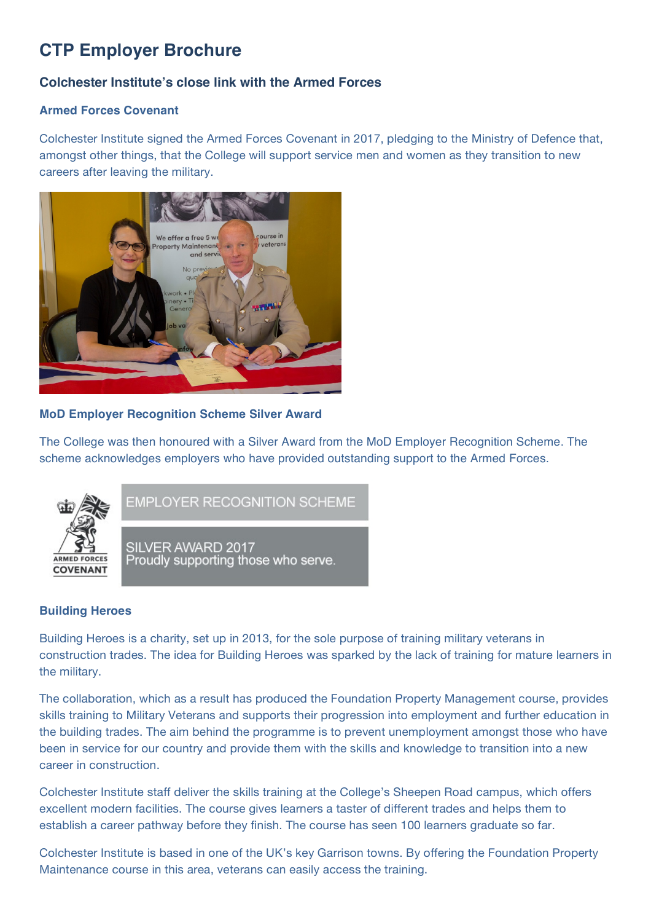# **CTP Employer Brochure**

# **Colchester Institute's close link with the Armed Forces**

# **Armed Forces Covenant**

Colchester Institute signed the Armed Forces Covenant in 2017, pledging to the Ministry of Defence that, amongst other things, that the College will support service men and women as they transition to new careers after leaving the military.



#### **MoD Employer Recognition Scheme Silver Award**

The College was then honoured with a Silver Award from the MoD Employer Recognition Scheme. The scheme acknowledges employers who have provided outstanding support to the Armed Forces.



EMPLOYER RECOGNITION SCHEME

SILVER AWARD 2017 Proudly supporting those who serve.

#### **Building Heroes**

Building Heroes is a charity, set up in 2013, for the sole purpose of training military veterans in construction trades. The idea for Building Heroes was sparked by the lack of training for mature learners in the military.

The collaboration, which as a result has produced the Foundation Property Management course, provides skills training to Military Veterans and supports their progression into employment and further education in the building trades. The aim behind the programme is to prevent unemployment amongst those who have been in service for our country and provide them with the skills and knowledge to transition into a new career in construction.

Colchester Institute staff deliver the skills training at the College's Sheepen Road campus, which offers excellent modern facilities. The course gives learners a taster of different trades and helps them to establish a career pathway before they finish. The course has seen 100 learners graduate so far.

Colchester Institute is based in one of the UK's key Garrison towns. By offering the Foundation Property Maintenance course in this area, veterans can easily access the training.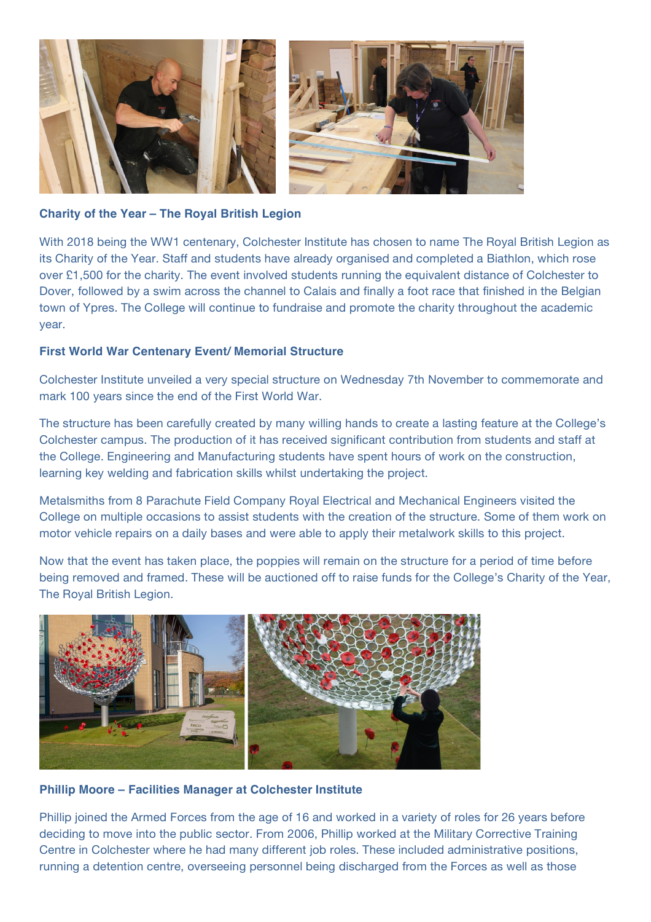

### **Charity of the Year – The Royal British Legion**

With 2018 being the WW1 centenary, Colchester Institute has chosen to name The Royal British Legion as its Charity of the Year. Staff and students have already organised and completed a Biathlon, which rose over £1,500 for the charity. The event involved students running the equivalent distance of Colchester to Dover, followed by a swim across the channel to Calais and finally a foot race that finished in the Belgian town of Ypres. The College will continue to fundraise and promote the charity throughout the academic year.

# **First World War Centenary Event/ Memorial Structure**

Colchester Institute unveiled a very special structure on Wednesday 7th November to commemorate and mark 100 years since the end of the First World War.

The structure has been carefully created by many willing hands to create a lasting feature at the College's Colchester campus. The production of it has received significant contribution from students and staff at the College. Engineering and Manufacturing students have spent hours of work on the construction, learning key welding and fabrication skills whilst undertaking the project.

Metalsmiths from 8 Parachute Field Company Royal Electrical and Mechanical Engineers visited the College on multiple occasions to assist students with the creation of the structure. Some of them work on motor vehicle repairs on a daily bases and were able to apply their metalwork skills to this project.

Now that the event has taken place, the poppies will remain on the structure for a period of time before being removed and framed. These will be auctioned off to raise funds for the College's Charity of the Year, The Royal British Legion.



#### **Phillip Moore – Facilities Manager at Colchester Institute**

Phillip joined the Armed Forces from the age of 16 and worked in a variety of roles for 26 years before deciding to move into the public sector. From 2006, Phillip worked at the Military Corrective Training Centre in Colchester where he had many different job roles. These included administrative positions, running a detention centre, overseeing personnel being discharged from the Forces as well as those